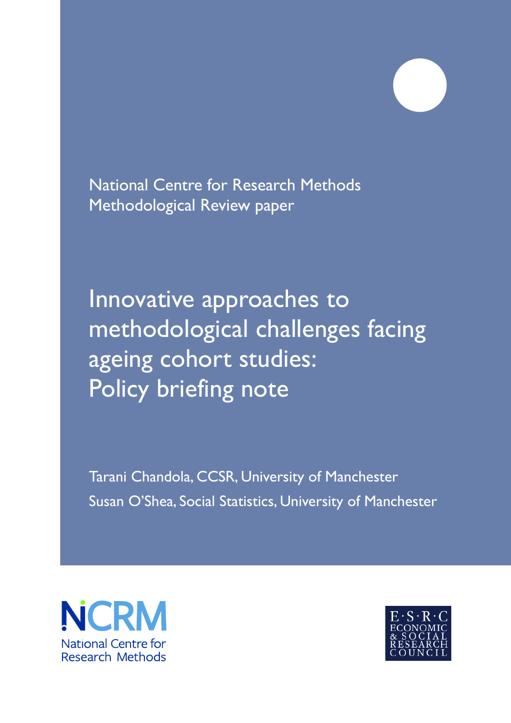National Centre for Research Methods Methodological Review paper

Innovative approaches to methodological challenges facing ageing cohort studies: Policy briefing note

Tarani Chandola, CCSR, University of Manchester Susan O'Shea, Social Statistics, University of Manchester



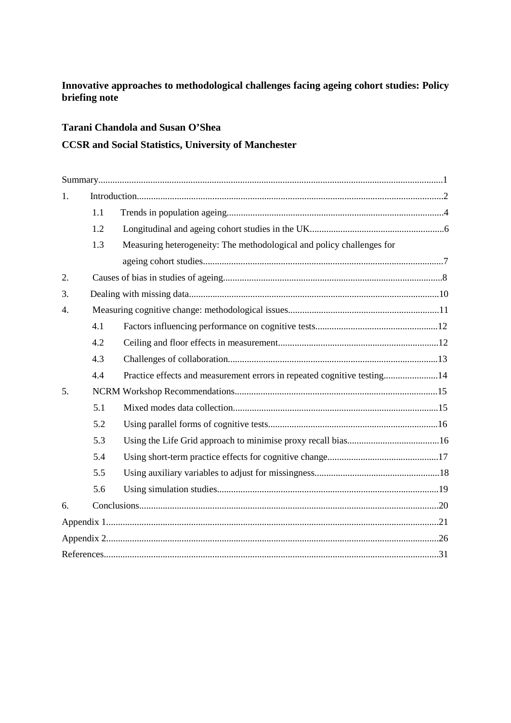# **Innovative approaches to methodological challenges facing ageing cohort studies: Policy briefing note**

# **Tarani Chandola and Susan O'Shea**

# **CCSR and Social Statistics, University of Manchester**

| 1. |     |                                                                         |
|----|-----|-------------------------------------------------------------------------|
|    | 1.1 |                                                                         |
|    | 1.2 |                                                                         |
|    | 1.3 | Measuring heterogeneity: The methodological and policy challenges for   |
|    |     |                                                                         |
| 2. |     |                                                                         |
| 3. |     |                                                                         |
| 4. |     |                                                                         |
|    | 4.1 |                                                                         |
|    | 4.2 |                                                                         |
|    | 4.3 |                                                                         |
|    | 4.4 | Practice effects and measurement errors in repeated cognitive testing14 |
| 5. |     |                                                                         |
|    | 5.1 |                                                                         |
|    | 5.2 |                                                                         |
|    | 5.3 |                                                                         |
|    | 5.4 |                                                                         |
|    | 5.5 |                                                                         |
|    | 5.6 |                                                                         |
| 6. |     |                                                                         |
|    |     |                                                                         |
|    |     |                                                                         |
|    |     |                                                                         |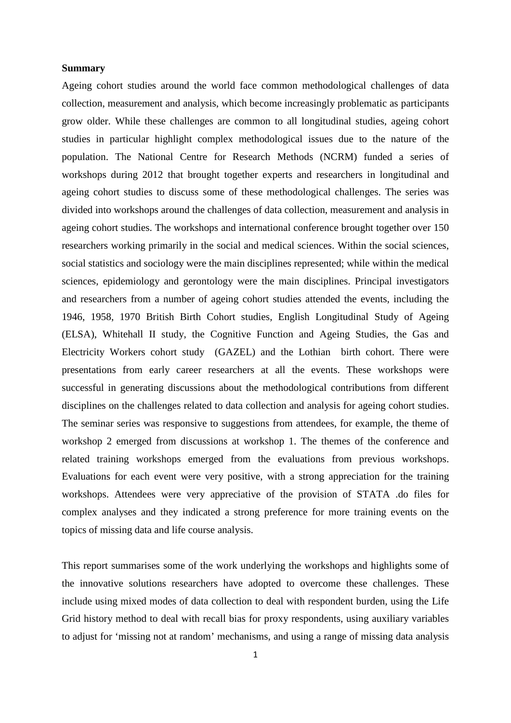### **Summary**

Ageing cohort studies around the world face common methodological challenges of data collection, measurement and analysis, which become increasingly problematic as participants grow older. While these challenges are common to all longitudinal studies, ageing cohort studies in particular highlight complex methodological issues due to the nature of the population. The National Centre for Research Methods (NCRM) funded a series of workshops during 2012 that brought together experts and researchers in longitudinal and ageing cohort studies to discuss some of these methodological challenges. The series was divided into workshops around the challenges of data collection, measurement and analysis in ageing cohort studies. The workshops and international conference brought together over 150 researchers working primarily in the social and medical sciences. Within the social sciences, social statistics and sociology were the main disciplines represented; while within the medical sciences, epidemiology and gerontology were the main disciplines. Principal investigators and researchers from a number of ageing cohort studies attended the events, including the 1946, 1958, 1970 British Birth Cohort studies, English Longitudinal Study of Ageing (ELSA), Whitehall II study, the Cognitive Function and Ageing Studies, the Gas and Electricity Workers cohort study (GAZEL) and the Lothian birth cohort. There were presentations from early career researchers at all the events. These workshops were successful in generating discussions about the methodological contributions from different disciplines on the challenges related to data collection and analysis for ageing cohort studies. The seminar series was responsive to suggestions from attendees, for example, the theme of workshop 2 emerged from discussions at workshop 1. The themes of the conference and related training workshops emerged from the evaluations from previous workshops. Evaluations for each event were very positive, with a strong appreciation for the training workshops. Attendees were very appreciative of the provision of STATA .do files for complex analyses and they indicated a strong preference for more training events on the topics of missing data and life course analysis.

This report summarises some of the work underlying the workshops and highlights some of the innovative solutions researchers have adopted to overcome these challenges. These include using mixed modes of data collection to deal with respondent burden, using the Life Grid history method to deal with recall bias for proxy respondents, using auxiliary variables to adjust for 'missing not at random' mechanisms, and using a range of missing data analysis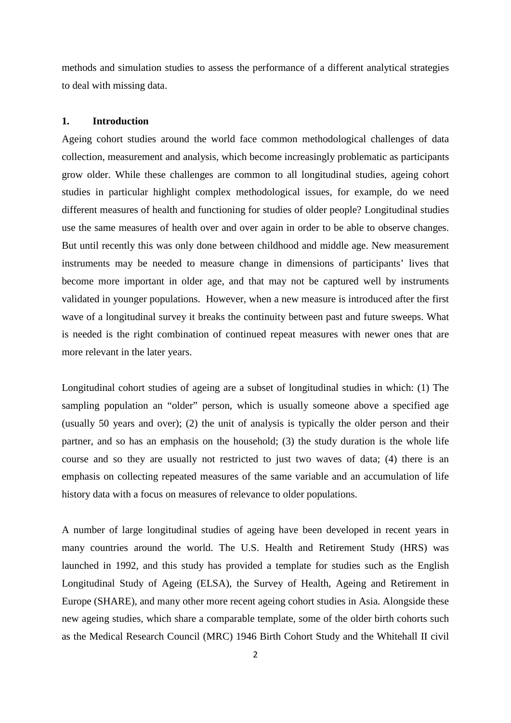methods and simulation studies to assess the performance of a different analytical strategies to deal with missing data.

## **1. Introduction**

Ageing cohort studies around the world face common methodological challenges of data collection, measurement and analysis, which become increasingly problematic as participants grow older. While these challenges are common to all longitudinal studies, ageing cohort studies in particular highlight complex methodological issues, for example, do we need different measures of health and functioning for studies of older people? Longitudinal studies use the same measures of health over and over again in order to be able to observe changes. But until recently this was only done between childhood and middle age. New measurement instruments may be needed to measure change in dimensions of participants' lives that become more important in older age, and that may not be captured well by instruments validated in younger populations. However, when a new measure is introduced after the first wave of a longitudinal survey it breaks the continuity between past and future sweeps. What is needed is the right combination of continued repeat measures with newer ones that are more relevant in the later years.

Longitudinal cohort studies of ageing are a subset of longitudinal studies in which: (1) The sampling population an "older" person, which is usually someone above a specified age (usually 50 years and over); (2) the unit of analysis is typically the older person and their partner, and so has an emphasis on the household; (3) the study duration is the whole life course and so they are usually not restricted to just two waves of data; (4) there is an emphasis on collecting repeated measures of the same variable and an accumulation of life history data with a focus on measures of relevance to older populations.

A number of large longitudinal studies of ageing have been developed in recent years in many countries around the world. The U.S. Health and Retirement Study (HRS) was launched in 1992, and this study has provided a template for studies such as the English Longitudinal Study of Ageing (ELSA), the Survey of Health, Ageing and Retirement in Europe (SHARE), and many other more recent ageing cohort studies in Asia. Alongside these new ageing studies, which share a comparable template, some of the older birth cohorts such as the Medical Research Council (MRC) 1946 Birth Cohort Study and the Whitehall II civil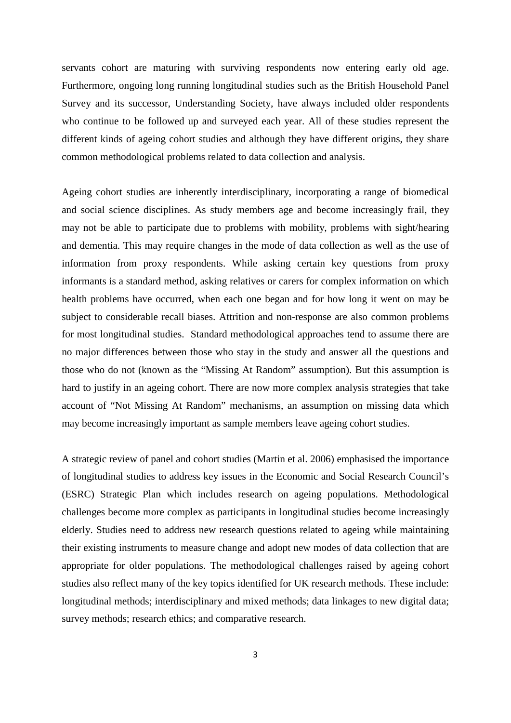servants cohort are maturing with surviving respondents now entering early old age. Furthermore, ongoing long running longitudinal studies such as the British Household Panel Survey and its successor, Understanding Society, have always included older respondents who continue to be followed up and surveyed each year. All of these studies represent the different kinds of ageing cohort studies and although they have different origins, they share common methodological problems related to data collection and analysis.

Ageing cohort studies are inherently interdisciplinary, incorporating a range of biomedical and social science disciplines. As study members age and become increasingly frail, they may not be able to participate due to problems with mobility, problems with sight/hearing and dementia. This may require changes in the mode of data collection as well as the use of information from proxy respondents. While asking certain key questions from proxy informants is a standard method, asking relatives or carers for complex information on which health problems have occurred, when each one began and for how long it went on may be subject to considerable recall biases. Attrition and non-response are also common problems for most longitudinal studies. Standard methodological approaches tend to assume there are no major differences between those who stay in the study and answer all the questions and those who do not (known as the "Missing At Random" assumption). But this assumption is hard to justify in an ageing cohort. There are now more complex analysis strategies that take account of "Not Missing At Random" mechanisms, an assumption on missing data which may become increasingly important as sample members leave ageing cohort studies.

A strategic review of panel and cohort studies (Martin et al. 2006) emphasised the importance of longitudinal studies to address key issues in the Economic and Social Research Council's (ESRC) Strategic Plan which includes research on ageing populations. Methodological challenges become more complex as participants in longitudinal studies become increasingly elderly. Studies need to address new research questions related to ageing while maintaining their existing instruments to measure change and adopt new modes of data collection that are appropriate for older populations. The methodological challenges raised by ageing cohort studies also reflect many of the key topics identified for UK research methods. These include: longitudinal methods; interdisciplinary and mixed methods; data linkages to new digital data; survey methods; research ethics; and comparative research.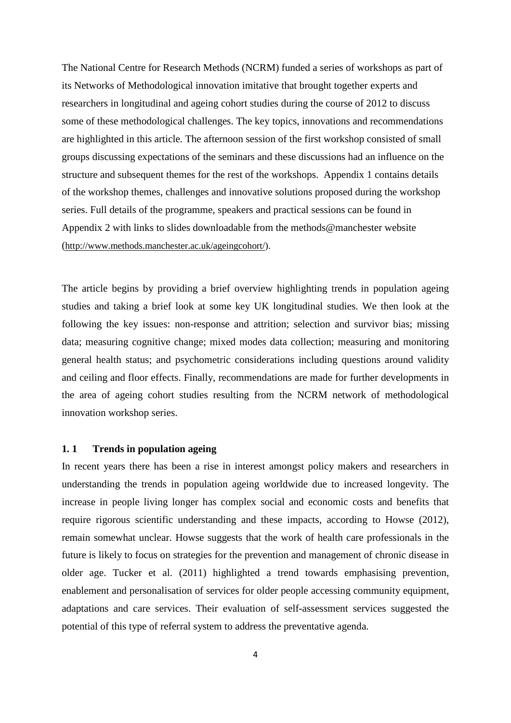The National Centre for Research Methods (NCRM) funded a series of workshops as part of its Networks of Methodological innovation imitative that brought together experts and researchers in longitudinal and ageing cohort studies during the course of 2012 to discuss some of these methodological challenges. The key topics, innovations and recommendations are highlighted in this article. The afternoon session of the first workshop consisted of small groups discussing expectations of the seminars and these discussions had an influence on the structure and subsequent themes for the rest of the workshops. Appendix 1 contains details of the workshop themes, challenges and innovative solutions proposed during the workshop series. Full details of the programme, speakers and practical sessions can be found in Appendix 2 with links to slides downloadable from the methods@manchester website [\(http://www.methods.manchester.ac.uk/ageingcohort/\)](http://www.methods.manchester.ac.uk/ageingcohort/).

The article begins by providing a brief overview highlighting trends in population ageing studies and taking a brief look at some key UK longitudinal studies. We then look at the following the key issues: non-response and attrition; selection and survivor bias; missing data; measuring cognitive change; mixed modes data collection; measuring and monitoring general health status; and psychometric considerations including questions around validity and ceiling and floor effects. Finally, recommendations are made for further developments in the area of ageing cohort studies resulting from the NCRM network of methodological innovation workshop series.

#### **1. 1 Trends in population ageing**

In recent years there has been a rise in interest amongst policy makers and researchers in understanding the trends in population ageing worldwide due to increased longevity. The increase in people living longer has complex social and economic costs and benefits that require rigorous scientific understanding and these impacts, according to Howse [\(2012\)](#page-34-0), remain somewhat unclear. Howse suggests that the work of health care professionals in the future is likely to focus on strategies for the prevention and management of chronic disease in older age. [Tucker et al. \(2011\)](#page-34-1) highlighted a trend towards emphasising prevention, enablement and personalisation of services for older people accessing community equipment, adaptations and care services. Their evaluation of self-assessment services suggested the potential of this type of referral system to address the preventative agenda.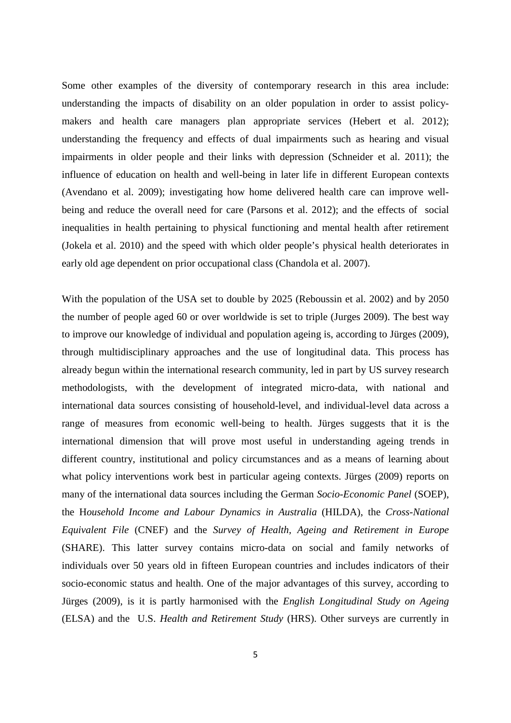Some other examples of the diversity of contemporary research in this area include: understanding the impacts of disability on an older population in order to assist policymakers and health care managers plan appropriate services [\(Hebert et al. 2012\)](#page-33-0); understanding the frequency and effects of dual impairments such as hearing and visual impairments in older people and their links with depression [\(Schneider et al. 2011\)](#page-34-2); the influence of education on health and well-being in later life in different European contexts [\(Avendano et al. 2009\)](#page-33-1); investigating how home delivered health care can improve wellbeing and reduce the overall need for care [\(Parsons et al. 2012\)](#page-34-3); and the effects of social inequalities in health pertaining to physical functioning and mental health after retirement [\(Jokela et al. 2010\)](#page-34-4) and the speed with which older people's physical health deteriorates in early old age dependent on prior occupational class [\(Chandola et al. 2007\)](#page-33-2).

With the population of the USA set to double by 2025 [\(Reboussin et al. 2002\)](#page-34-5) and by 2050 the number of people aged 60 or over worldwide is set to triple [\(Jurges 2009\)](#page-34-6). The best way to improve our knowledge of individual and population ageing is, according to Jürges (2009), through multidisciplinary approaches and the use of longitudinal data. This process has already begun within the international research community, led in part by US survey research methodologists, with the development of integrated micro-data, with national and international data sources consisting of household-level, and individual-level data across a range of measures from economic well-being to health. Jürges suggests that it is the international dimension that will prove most useful in understanding ageing trends in different country, institutional and policy circumstances and as a means of learning about what policy interventions work best in particular ageing contexts. Jürges (2009) reports on many of the international data sources including the German *Socio-Economic Panel* (SOEP), the H*ousehold Income and Labour Dynamics in Australia* (HILDA), the *Cross-National Equivalent File* (CNEF) and the *Survey of Health, Ageing and Retirement in Europe* (SHARE). This latter survey contains micro-data on social and family networks of individuals over 50 years old in fifteen European countries and includes indicators of their socio-economic status and health. One of the major advantages of this survey, according to Jürges (2009), is it is partly harmonised with the *English Longitudinal Study on Ageing* (ELSA) and the U.S. *Health and Retirement Study* (HRS). Other surveys are currently in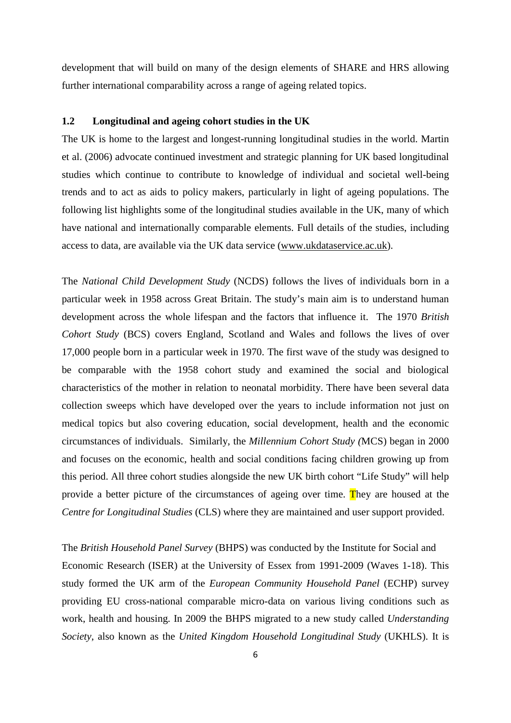development that will build on many of the design elements of SHARE and HRS allowing further international comparability across a range of ageing related topics.

## **1.2 Longitudinal and ageing cohort studies in the UK**

The UK is home to the largest and longest-running longitudinal studies in the world. Martin et al. (2006) advocate continued investment and strategic planning for UK based longitudinal studies which continue to contribute to knowledge of individual and societal well-being trends and to act as aids to policy makers, particularly in light of ageing populations. The following list highlights some of the longitudinal studies available in the UK, many of which have national and internationally comparable elements. Full details of the studies, including access to data, are available via the UK data service [\(www.ukdataservice.ac.uk\)](http://www.ukdataservice.ac.uk/).

The *National Child Development Study* (NCDS) follows the lives of individuals born in a particular week in 1958 across Great Britain. The study's main aim is to understand human development across the whole lifespan and the factors that influence it. The 1970 *British Cohort Study* (BCS) covers England, Scotland and Wales and follows the lives of over 17,000 people born in a particular week in 1970. The first wave of the study was designed to be comparable with the 1958 cohort study and examined the social and biological characteristics of the mother in relation to neonatal morbidity. There have been several data collection sweeps which have developed over the years to include information not just on medical topics but also covering education, social development, health and the economic circumstances of individuals. Similarly, the *Millennium Cohort Study (*MCS) began in 2000 and focuses on the economic, health and social conditions facing children growing up from this period. All three cohort studies alongside the new UK birth cohort "Life Study" will help provide a better picture of the circumstances of ageing over time. They are housed at the *Centre for Longitudinal Studies* (CLS) where they are maintained and user support provided.

The *British Household Panel Survey* (BHPS) was conducted by the Institute for Social and Economic Research (ISER) at the University of Essex from 1991-2009 (Waves 1-18). This study formed the UK arm of the *European Community Household Panel* (ECHP) survey providing EU cross-national comparable micro-data on various living conditions such as work, health and housing. In 2009 the BHPS migrated to a new study called *Understanding Society*, also known as the *United Kingdom Household Longitudinal Study* (UKHLS). It is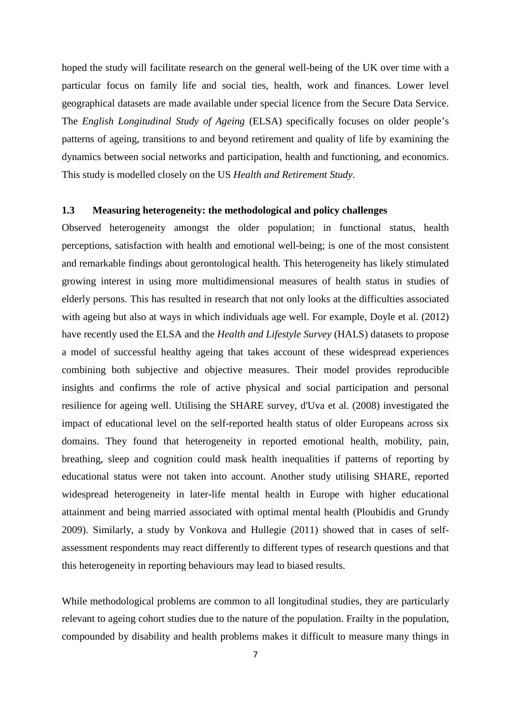hoped the study will facilitate research on the general well-being of the UK over time with a particular focus on family life and social ties, health, work and finances. Lower level geographical datasets are made available under special licence from the Secure Data Service. The *English Longitudinal Study of Ageing* (ELSA) specifically focuses on older people's patterns of ageing, transitions to and beyond retirement and quality of life by examining the dynamics between social networks and participation, health and functioning, and economics. This study is modelled closely on the US *Health and Retirement Study*.

### **1.3 Measuring heterogeneity: the methodological and policy challenges**

Observed heterogeneity amongst the older population; in functional status, health perceptions, satisfaction with health and emotional well-being; is one of the most consistent and remarkable findings about gerontological health. This heterogeneity has likely stimulated growing interest in using more multidimensional measures of health status in studies of elderly persons. This has resulted in research that not only looks at the difficulties associated with ageing but also at ways in which individuals age well. For example, Doyle et al. [\(2012\)](#page-33-3) have recently used the ELSA and the *Health and Lifestyle Survey* (HALS) datasets to propose a model of successful healthy ageing that takes account of these widespread experiences combining both subjective and objective measures. Their model provides reproducible insights and confirms the role of active physical and social participation and personal resilience for ageing well. Utilising the SHARE survey, d'Uva et al. [\(2008\)](#page-33-4) investigated the impact of educational level on the self-reported health status of older Europeans across six domains. They found that heterogeneity in reported emotional health, mobility, pain, breathing, sleep and cognition could mask health inequalities if patterns of reporting by educational status were not taken into account. Another study utilising SHARE, reported widespread heterogeneity in later-life mental health in Europe with higher educational attainment and being married associated with optimal mental health [\(Ploubidis and Grundy](#page-34-7)  [2009\)](#page-34-7). Similarly, a study by [Vonkova and Hullegie \(2011\)](#page-35-0) showed that in cases of selfassessment respondents may react differently to different types of research questions and that this heterogeneity in reporting behaviours may lead to biased results.

While methodological problems are common to all longitudinal studies, they are particularly relevant to ageing cohort studies due to the nature of the population. Frailty in the population, compounded by disability and health problems makes it difficult to measure many things in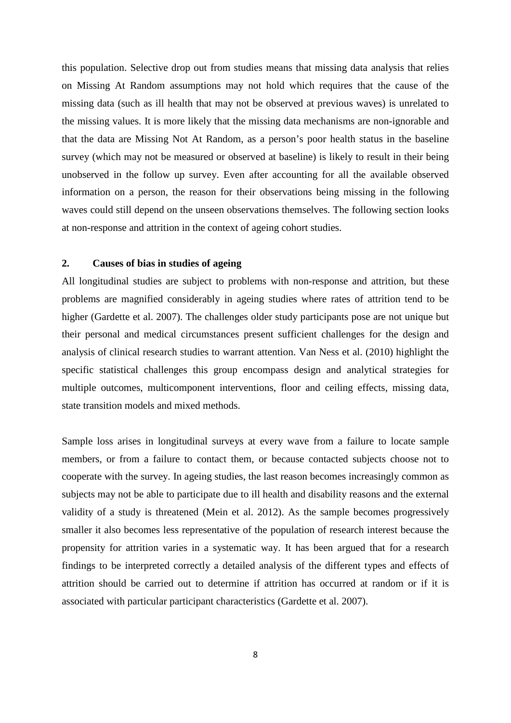this population. Selective drop out from studies means that missing data analysis that relies on Missing At Random assumptions may not hold which requires that the cause of the missing data (such as ill health that may not be observed at previous waves) is unrelated to the missing values. It is more likely that the missing data mechanisms are non-ignorable and that the data are Missing Not At Random, as a person's poor health status in the baseline survey (which may not be measured or observed at baseline) is likely to result in their being unobserved in the follow up survey. Even after accounting for all the available observed information on a person, the reason for their observations being missing in the following waves could still depend on the unseen observations themselves. The following section looks at non-response and attrition in the context of ageing cohort studies.

## **2. Causes of bias in studies of ageing**

All longitudinal studies are subject to problems with non-response and attrition, but these problems are magnified considerably in ageing studies where rates of attrition tend to be higher [\(Gardette et al. 2007\)](#page-33-5). The challenges older study participants pose are not unique but their personal and medical circumstances present sufficient challenges for the design and analysis of clinical research studies to warrant attention. [Van Ness et al. \(2010\)](#page-34-8) highlight the specific statistical challenges this group encompass design and analytical strategies for multiple outcomes, multicomponent interventions, floor and ceiling effects, missing data, state transition models and mixed methods.

Sample loss arises in longitudinal surveys at every wave from a failure to locate sample members, or from a failure to contact them, or because contacted subjects choose not to cooperate with the survey. In ageing studies, the last reason becomes increasingly common as subjects may not be able to participate due to ill health and disability reasons and the external validity of a study is threatened [\(Mein et al. 2012\)](#page-34-9). As the sample becomes progressively smaller it also becomes less representative of the population of research interest because the propensity for attrition varies in a systematic way. It has been argued that for a research findings to be interpreted correctly a detailed analysis of the different types and effects of attrition should be carried out to determine if attrition has occurred at random or if it is associated with particular participant characteristics [\(Gardette et al. 2007\)](#page-33-5).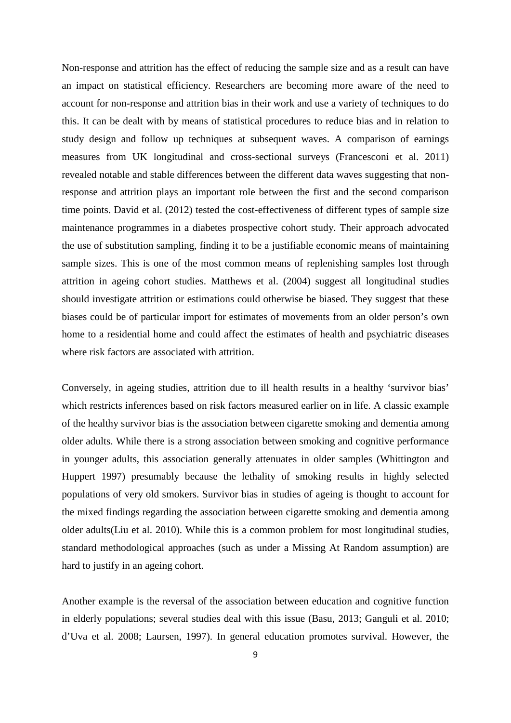Non-response and attrition has the effect of reducing the sample size and as a result can have an impact on statistical efficiency. Researchers are becoming more aware of the need to account for non-response and attrition bias in their work and use a variety of techniques to do this. It can be dealt with by means of statistical procedures to reduce bias and in relation to study design and follow up techniques at subsequent waves. A comparison of earnings measures from UK longitudinal and cross-sectional surveys [\(Francesconi et al. 2011\)](#page-33-6) revealed notable and stable differences between the different data waves suggesting that nonresponse and attrition plays an important role between the first and the second comparison time points. [David et al. \(2012\)](#page-33-7) tested the cost-effectiveness of different types of sample size maintenance programmes in a diabetes prospective cohort study. Their approach advocated the use of substitution sampling, finding it to be a justifiable economic means of maintaining sample sizes. This is one of the most common means of replenishing samples lost through attrition in ageing cohort studies. [Matthews et al. \(2004\)](#page-34-10) suggest all longitudinal studies should investigate attrition or estimations could otherwise be biased. They suggest that these biases could be of particular import for estimates of movements from an older person's own home to a residential home and could affect the estimates of health and psychiatric diseases where risk factors are associated with attrition.

Conversely, in ageing studies, attrition due to ill health results in a healthy 'survivor bias' which restricts inferences based on risk factors measured earlier on in life. A classic example of the healthy survivor bias is the association between cigarette smoking and dementia among older adults. While there is a strong association between smoking and cognitive performance in younger adults, this association generally attenuates in older samples [\(Whittington and](#page-35-1)  [Huppert 1997\)](#page-35-1) presumably because the lethality of smoking results in highly selected populations of very old smokers. Survivor bias in studies of ageing is thought to account for the mixed findings regarding the association between cigarette smoking and dementia among older adults[\(Liu et al. 2010\)](#page-34-11). While this is a common problem for most longitudinal studies, standard methodological approaches (such as under a Missing At Random assumption) are hard to justify in an ageing cohort.

Another example is the reversal of the association between education and cognitive function in elderly populations; several studies deal with this issue (Basu, 2013; Ganguli et al. 2010; d'Uva et al. 2008; Laursen, 1997). In general education promotes survival. However, the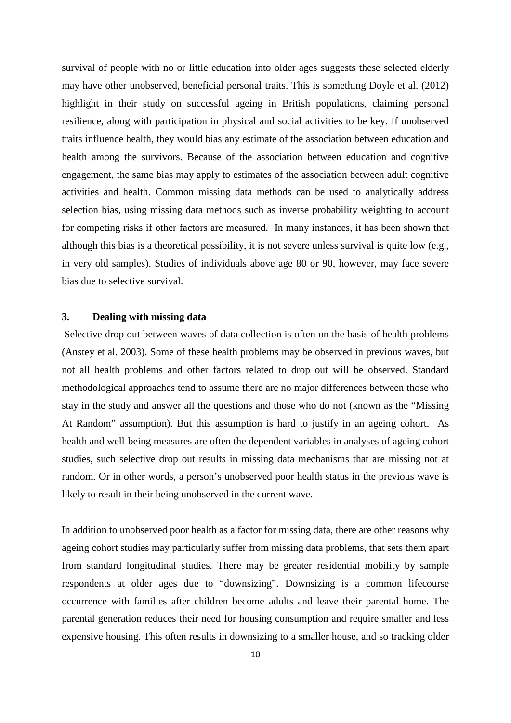survival of people with no or little education into older ages suggests these selected elderly may have other unobserved, beneficial personal traits. This is something Doyle et al. (2012) highlight in their study on successful ageing in British populations, claiming personal resilience, along with participation in physical and social activities to be key. If unobserved traits influence health, they would bias any estimate of the association between education and health among the survivors. Because of the association between education and cognitive engagement, the same bias may apply to estimates of the association between adult cognitive activities and health. Common missing data methods can be used to analytically address selection bias, using missing data methods such as inverse probability weighting to account for competing risks if other factors are measured. In many instances, it has been shown that although this bias is a theoretical possibility, it is not severe unless survival is quite low (e.g., in very old samples). Studies of individuals above age 80 or 90, however, may face severe bias due to selective survival.

## **3. Dealing with missing data**

Selective drop out between waves of data collection is often on the basis of health problems [\(Anstey et al. 2003\)](#page-33-8). Some of these health problems may be observed in previous waves, but not all health problems and other factors related to drop out will be observed. Standard methodological approaches tend to assume there are no major differences between those who stay in the study and answer all the questions and those who do not (known as the "Missing At Random" assumption). But this assumption is hard to justify in an ageing cohort. As health and well-being measures are often the dependent variables in analyses of ageing cohort studies, such selective drop out results in missing data mechanisms that are missing not at random. Or in other words, a person's unobserved poor health status in the previous wave is likely to result in their being unobserved in the current wave.

In addition to unobserved poor health as a factor for missing data, there are other reasons why ageing cohort studies may particularly suffer from missing data problems, that sets them apart from standard longitudinal studies. There may be greater residential mobility by sample respondents at older ages due to "downsizing". Downsizing is a common lifecourse occurrence with families after children become adults and leave their parental home. The parental generation reduces their need for housing consumption and require smaller and less expensive housing. This often results in downsizing to a smaller house, and so tracking older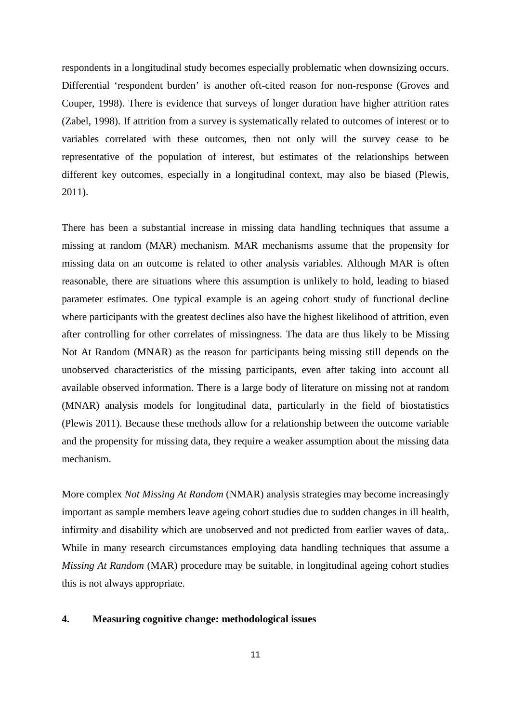respondents in a longitudinal study becomes especially problematic when downsizing occurs. Differential 'respondent burden' is another oft-cited reason for non-response (Groves and Couper, 1998). There is evidence that surveys of longer duration have higher attrition rates (Zabel, 1998). If attrition from a survey is systematically related to outcomes of interest or to variables correlated with these outcomes, then not only will the survey cease to be representative of the population of interest, but estimates of the relationships between different key outcomes, especially in a longitudinal context, may also be biased (Plewis, 2011).

There has been a substantial increase in missing data handling techniques that assume a missing at random (MAR) mechanism. MAR mechanisms assume that the propensity for missing data on an outcome is related to other analysis variables. Although MAR is often reasonable, there are situations where this assumption is unlikely to hold, leading to biased parameter estimates. One typical example is an ageing cohort study of functional decline where participants with the greatest declines also have the highest likelihood of attrition, even after controlling for other correlates of missingness. The data are thus likely to be Missing Not At Random (MNAR) as the reason for participants being missing still depends on the unobserved characteristics of the missing participants, even after taking into account all available observed information. There is a large body of literature on missing not at random (MNAR) analysis models for longitudinal data, particularly in the field of biostatistics (Plewis 2011). Because these methods allow for a relationship between the outcome variable and the propensity for missing data, they require a weaker assumption about the missing data mechanism.

More complex *Not Missing At Random* (NMAR) analysis strategies may become increasingly important as sample members leave ageing cohort studies due to sudden changes in ill health, infirmity and disability which are unobserved and not predicted from earlier waves of data,. While in many research circumstances employing data handling techniques that assume a *Missing At Random* (MAR) procedure may be suitable, in longitudinal ageing cohort studies this is not always appropriate.

#### **4. Measuring cognitive change: methodological issues**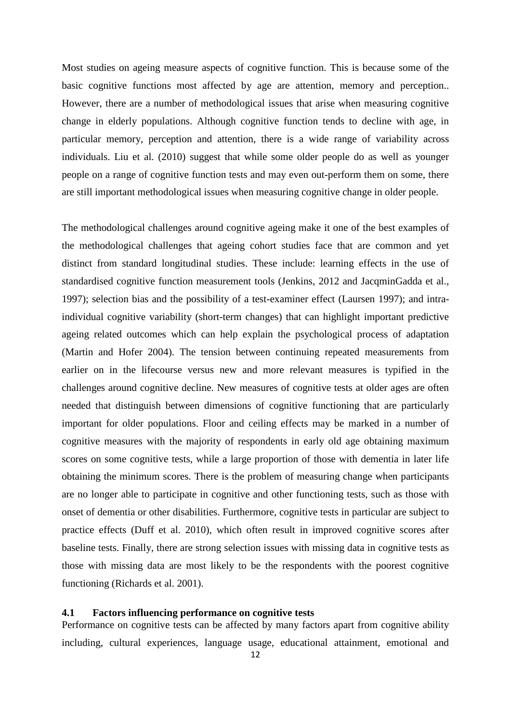Most studies on ageing measure aspects of cognitive function. This is because some of the basic cognitive functions most affected by age are attention, memory and perception.. However, there are a number of methodological issues that arise when measuring cognitive change in elderly populations. Although cognitive function tends to decline with age, in particular memory, perception and attention, there is a wide range of variability across individuals. [Liu et al. \(2010\)](#page-34-11) suggest that while some older people do as well as younger people on a range of cognitive function tests and may even out-perform them on some, there are still important methodological issues when measuring cognitive change in older people.

The methodological challenges around cognitive ageing make it one of the best examples of the methodological challenges that ageing cohort studies face that are common and yet distinct from standard longitudinal studies. These include: learning effects in the use of standardised cognitive function measurement tools (Jenkins, 2012 and JacqminGadda et al., 1997); selection bias and the possibility of a test-examiner effect [\(Laursen 1997\)](#page-34-12); and intraindividual cognitive variability (short-term changes) that can highlight important predictive ageing related outcomes which can help explain the psychological process of adaptation [\(Martin and Hofer 2004\)](#page-34-13). The tension between continuing repeated measurements from earlier on in the lifecourse versus new and more relevant measures is typified in the challenges around cognitive decline. New measures of cognitive tests at older ages are often needed that distinguish between dimensions of cognitive functioning that are particularly important for older populations. Floor and ceiling effects may be marked in a number of cognitive measures with the majority of respondents in early old age obtaining maximum scores on some cognitive tests, while a large proportion of those with dementia in later life obtaining the minimum scores. There is the problem of measuring change when participants are no longer able to participate in cognitive and other functioning tests, such as those with onset of dementia or other disabilities. Furthermore, cognitive tests in particular are subject to practice effects [\(Duff et al. 2010\)](#page-33-9), which often result in improved cognitive scores after baseline tests. Finally, there are strong selection issues with missing data in cognitive tests as those with missing data are most likely to be the respondents with the poorest cognitive functioning (Richards et al. 2001).

#### **4.1 Factors influencing performance on cognitive tests**

Performance on cognitive tests can be affected by many factors apart from cognitive ability including, cultural experiences, language usage, educational attainment, emotional and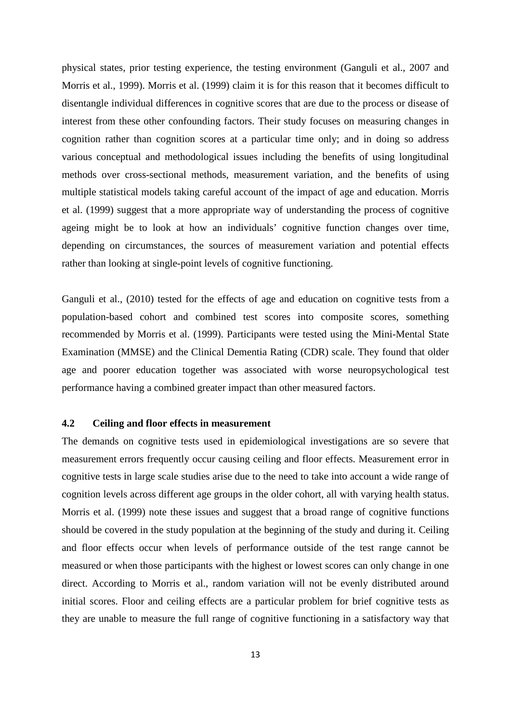physical states, prior testing experience, the testing environment (Ganguli et al., 2007 and Morris et al., 1999). [Morris et al. \(1999\)](#page-34-14) claim it is for this reason that it becomes difficult to disentangle individual differences in cognitive scores that are due to the process or disease of interest from these other confounding factors. Their study focuses on measuring changes in cognition rather than cognition scores at a particular time only; and in doing so address various conceptual and methodological issues including the benefits of using longitudinal methods over cross-sectional methods, measurement variation, and the benefits of using multiple statistical models taking careful account of the impact of age and education. [Morris](#page-34-14)  [et al. \(1999\)](#page-34-14) suggest that a more appropriate way of understanding the process of cognitive ageing might be to look at how an individuals' cognitive function changes over time, depending on circumstances, the sources of measurement variation and potential effects rather than looking at single-point levels of cognitive functioning.

Ganguli et al., (2010) tested for the effects of age and education on cognitive tests from a population-based cohort and combined test scores into composite scores, something recommended by Morris et al. (1999). Participants were tested using the Mini-Mental State Examination (MMSE) and the Clinical Dementia Rating (CDR) scale. They found that older age and poorer education together was associated with worse neuropsychological test performance having a combined greater impact than other measured factors.

### **4.2 Ceiling and floor effects in measurement**

The demands on cognitive tests used in epidemiological investigations are so severe that measurement errors frequently occur causing ceiling and floor effects. Measurement error in cognitive tests in large scale studies arise due to the need to take into account a wide range of cognition levels across different age groups in the older cohort, all with varying health status. Morris et al. (1999) note these issues and suggest that a broad range of cognitive functions should be covered in the study population at the beginning of the study and during it. Ceiling and floor effects occur when levels of performance outside of the test range cannot be measured or when those participants with the highest or lowest scores can only change in one direct. According to Morris et al., random variation will not be evenly distributed around initial scores. Floor and ceiling effects are a particular problem for brief cognitive tests as they are unable to measure the full range of cognitive functioning in a satisfactory way that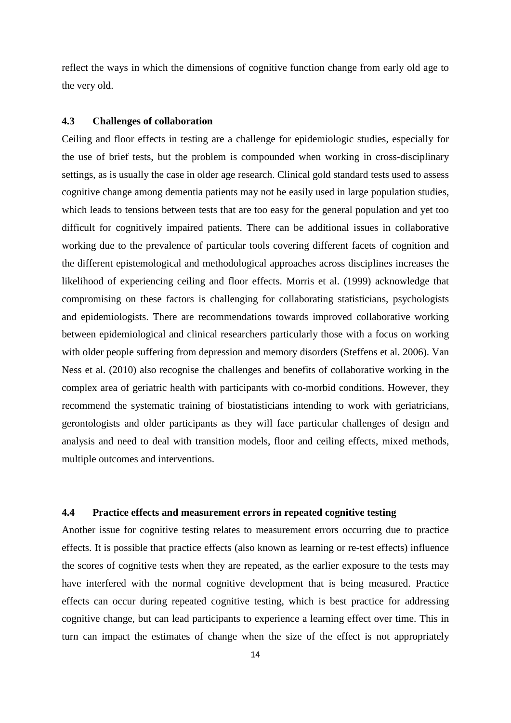reflect the ways in which the dimensions of cognitive function change from early old age to the very old.

## **4.3 Challenges of collaboration**

Ceiling and floor effects in testing are a challenge for epidemiologic studies, especially for the use of brief tests, but the problem is compounded when working in cross-disciplinary settings, as is usually the case in older age research. Clinical gold standard tests used to assess cognitive change among dementia patients may not be easily used in large population studies, which leads to tensions between tests that are too easy for the general population and yet too difficult for cognitively impaired patients. There can be additional issues in collaborative working due to the prevalence of particular tools covering different facets of cognition and the different epistemological and methodological approaches across disciplines increases the likelihood of experiencing ceiling and floor effects. Morris et al. (1999) acknowledge that compromising on these factors is challenging for collaborating statisticians, psychologists and epidemiologists. There are recommendations towards improved collaborative working between epidemiological and clinical researchers particularly those with a focus on working with older people suffering from depression and memory disorders [\(Steffens et al. 2006\)](#page-34-15). [Van](#page-34-8)  [Ness et al. \(2010\)](#page-34-8) also recognise the challenges and benefits of collaborative working in the complex area of geriatric health with participants with co-morbid conditions. However, they recommend the systematic training of biostatisticians intending to work with geriatricians, gerontologists and older participants as they will face particular challenges of design and analysis and need to deal with transition models, floor and ceiling effects, mixed methods, multiple outcomes and interventions.

## **4.4 Practice effects and measurement errors in repeated cognitive testing**

Another issue for cognitive testing relates to measurement errors occurring due to practice effects. It is possible that practice effects (also known as learning or re-test effects) influence the scores of cognitive tests when they are repeated, as the earlier exposure to the tests may have interfered with the normal cognitive development that is being measured. Practice effects can occur during repeated cognitive testing, which is best practice for addressing cognitive change, but can lead participants to experience a learning effect over time. This in turn can impact the estimates of change when the size of the effect is not appropriately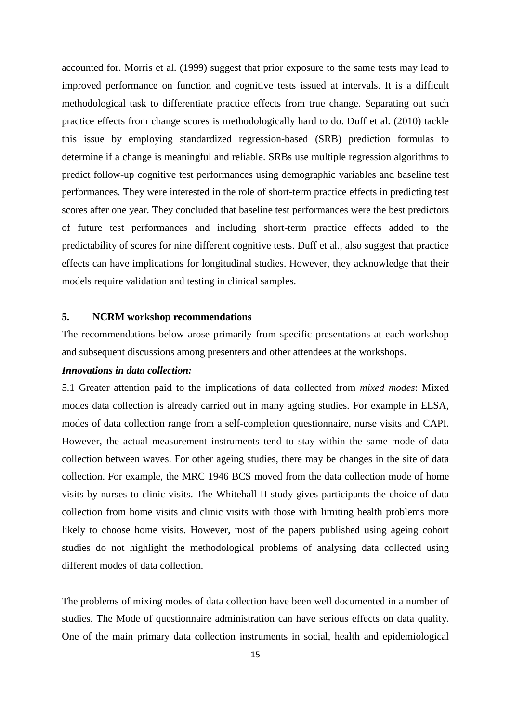accounted for. Morris et al. (1999) suggest that prior exposure to the same tests may lead to improved performance on function and cognitive tests issued at intervals. It is a difficult methodological task to differentiate practice effects from true change. Separating out such practice effects from change scores is methodologically hard to do. [Duff et al. \(2010\)](#page-33-9) tackle this issue by employing standardized regression-based (SRB) prediction formulas to determine if a change is meaningful and reliable. SRBs use multiple regression algorithms to predict follow-up cognitive test performances using demographic variables and baseline test performances. They were interested in the role of short-term practice effects in predicting test scores after one year. They concluded that baseline test performances were the best predictors of future test performances and including short-term practice effects added to the predictability of scores for nine different cognitive tests. Duff et al., also suggest that practice effects can have implications for longitudinal studies. However, they acknowledge that their models require validation and testing in clinical samples.

## **5. NCRM workshop recommendations**

The recommendations below arose primarily from specific presentations at each workshop and subsequent discussions among presenters and other attendees at the workshops.

### *Innovations in data collection:*

5.1 Greater attention paid to the implications of data collected from *mixed modes*: Mixed modes data collection is already carried out in many ageing studies. For example in ELSA, modes of data collection range from a self-completion questionnaire, nurse visits and CAPI. However, the actual measurement instruments tend to stay within the same mode of data collection between waves. For other ageing studies, there may be changes in the site of data collection. For example, the MRC 1946 BCS moved from the data collection mode of home visits by nurses to clinic visits. The Whitehall II study gives participants the choice of data collection from home visits and clinic visits with those with limiting health problems more likely to choose home visits. However, most of the papers published using ageing cohort studies do not highlight the methodological problems of analysing data collected using different modes of data collection.

The problems of mixing modes of data collection have been well documented in a number of studies. The Mode of questionnaire administration can have serious effects on data quality. One of the main primary data collection instruments in social, health and epidemiological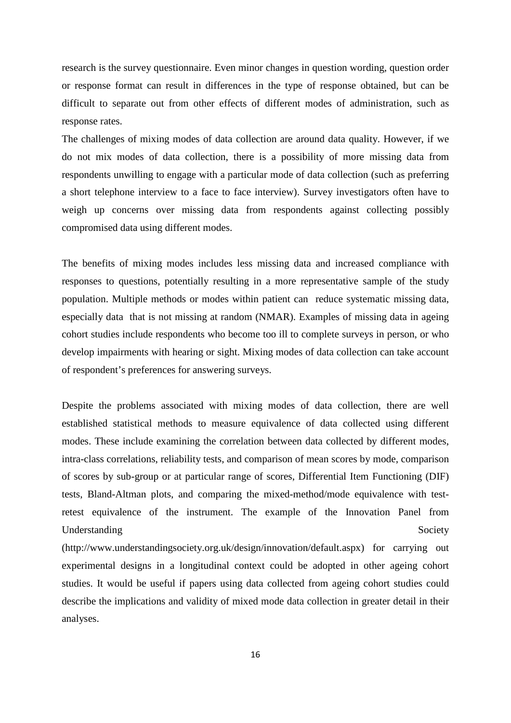research is the survey questionnaire. Even minor changes in question wording, question order or response format can result in differences in the type of response obtained, but can be difficult to separate out from other effects of different modes of administration, such as response rates.

The challenges of mixing modes of data collection are around data quality. However, if we do not mix modes of data collection, there is a possibility of more missing data from respondents unwilling to engage with a particular mode of data collection (such as preferring a short telephone interview to a face to face interview). Survey investigators often have to weigh up concerns over missing data from respondents against collecting possibly compromised data using different modes.

The benefits of mixing modes includes less missing data and increased compliance with responses to questions, potentially resulting in a more representative sample of the study population. Multiple methods or modes within patient can reduce systematic missing data, especially data that is not missing at random (NMAR). Examples of missing data in ageing cohort studies include respondents who become too ill to complete surveys in person, or who develop impairments with hearing or sight. Mixing modes of data collection can take account of respondent's preferences for answering surveys.

Despite the problems associated with mixing modes of data collection, there are well established statistical methods to measure equivalence of data collected using different modes. These include examining the correlation between data collected by different modes, intra-class correlations, reliability tests, and comparison of mean scores by mode, comparison of scores by sub-group or at particular range of scores, Differential Item Functioning (DIF) tests, Bland-Altman plots, and comparing the mixed-method/mode equivalence with testretest equivalence of the instrument. The example of the Innovation Panel from Understanding Society

(http://www.understandingsociety.org.uk/design/innovation/default.aspx) for carrying out experimental designs in a longitudinal context could be adopted in other ageing cohort studies. It would be useful if papers using data collected from ageing cohort studies could describe the implications and validity of mixed mode data collection in greater detail in their analyses.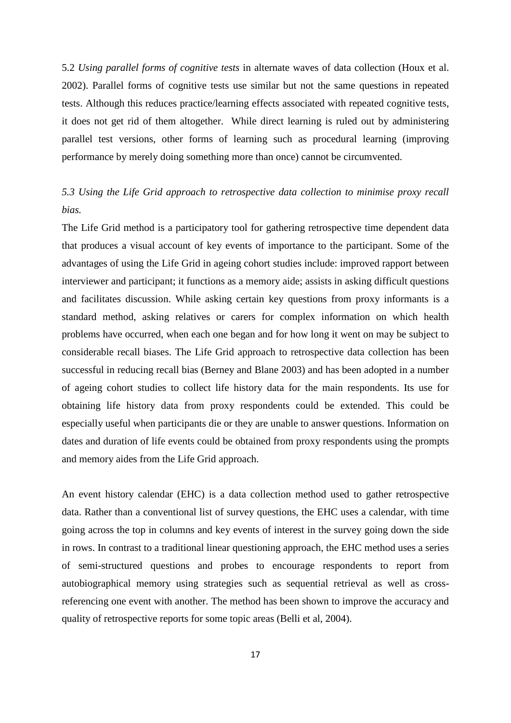5.2 *Using parallel forms of cognitive tests* in alternate waves of data collection (Houx et al. 2002). Parallel forms of cognitive tests use similar but not the same questions in repeated tests. Although this reduces practice/learning effects associated with repeated cognitive tests, it does not get rid of them altogether. While direct learning is ruled out by administering parallel test versions, other forms of learning such as procedural learning (improving performance by merely doing something more than once) cannot be circumvented.

# *5.3 Using the Life Grid approach to retrospective data collection to minimise proxy recall bias.*

The Life Grid method is a participatory tool for gathering retrospective time dependent data that produces a visual account of key events of importance to the participant. Some of the advantages of using the Life Grid in ageing cohort studies include: improved rapport between interviewer and participant; it functions as a memory aide; assists in asking difficult questions and facilitates discussion. While asking certain key questions from proxy informants is a standard method, asking relatives or carers for complex information on which health problems have occurred, when each one began and for how long it went on may be subject to considerable recall biases. The Life Grid approach to retrospective data collection has been successful in reducing recall bias (Berney and Blane 2003) and has been adopted in a number of ageing cohort studies to collect life history data for the main respondents. Its use for obtaining life history data from proxy respondents could be extended. This could be especially useful when participants die or they are unable to answer questions. Information on dates and duration of life events could be obtained from proxy respondents using the prompts and memory aides from the Life Grid approach.

An event history calendar (EHC) is a data collection method used to gather retrospective data. Rather than a conventional list of survey questions, the EHC uses a calendar, with time going across the top in columns and key events of interest in the survey going down the side in rows. In contrast to a traditional linear questioning approach, the EHC method uses a series of semi-structured questions and probes to encourage respondents to report from autobiographical memory using strategies such as sequential retrieval as well as crossreferencing one event with another. The method has been shown to improve the accuracy and quality of retrospective reports for some topic areas (Belli et al, 2004).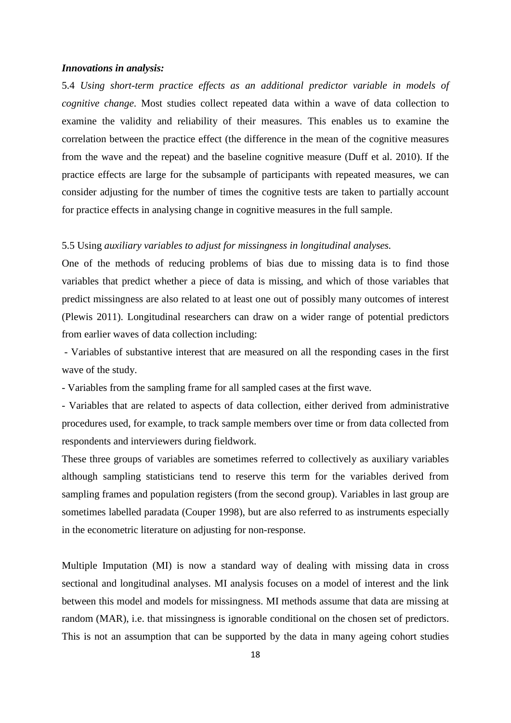#### *Innovations in analysis:*

5.4 *Using short-term practice effects as an additional predictor variable in models of cognitive change*. Most studies collect repeated data within a wave of data collection to examine the validity and reliability of their measures. This enables us to examine the correlation between the practice effect (the difference in the mean of the cognitive measures from the wave and the repeat) and the baseline cognitive measure (Duff et al. 2010). If the practice effects are large for the subsample of participants with repeated measures, we can consider adjusting for the number of times the cognitive tests are taken to partially account for practice effects in analysing change in cognitive measures in the full sample.

### 5.5 Using *auxiliary variables to adjust for missingness in longitudinal analyses.*

One of the methods of reducing problems of bias due to missing data is to find those variables that predict whether a piece of data is missing, and which of those variables that predict missingness are also related to at least one out of possibly many outcomes of interest (Plewis 2011). Longitudinal researchers can draw on a wider range of potential predictors from earlier waves of data collection including:

- Variables of substantive interest that are measured on all the responding cases in the first wave of the study.

- Variables from the sampling frame for all sampled cases at the first wave.

- Variables that are related to aspects of data collection, either derived from administrative procedures used, for example, to track sample members over time or from data collected from respondents and interviewers during fieldwork.

These three groups of variables are sometimes referred to collectively as auxiliary variables although sampling statisticians tend to reserve this term for the variables derived from sampling frames and population registers (from the second group). Variables in last group are sometimes labelled paradata (Couper 1998), but are also referred to as instruments especially in the econometric literature on adjusting for non-response.

Multiple Imputation (MI) is now a standard way of dealing with missing data in cross sectional and longitudinal analyses. MI analysis focuses on a model of interest and the link between this model and models for missingness. MI methods assume that data are missing at random (MAR), i.e. that missingness is ignorable conditional on the chosen set of predictors. This is not an assumption that can be supported by the data in many ageing cohort studies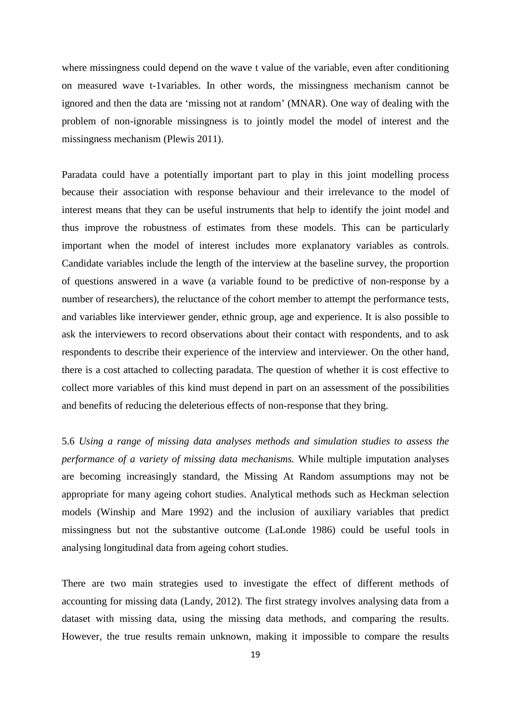where missingness could depend on the wave t value of the variable, even after conditioning on measured wave t-1variables. In other words, the missingness mechanism cannot be ignored and then the data are 'missing not at random' (MNAR). One way of dealing with the problem of non-ignorable missingness is to jointly model the model of interest and the missingness mechanism (Plewis 2011).

Paradata could have a potentially important part to play in this joint modelling process because their association with response behaviour and their irrelevance to the model of interest means that they can be useful instruments that help to identify the joint model and thus improve the robustness of estimates from these models. This can be particularly important when the model of interest includes more explanatory variables as controls. Candidate variables include the length of the interview at the baseline survey, the proportion of questions answered in a wave (a variable found to be predictive of non-response by a number of researchers), the reluctance of the cohort member to attempt the performance tests, and variables like interviewer gender, ethnic group, age and experience. It is also possible to ask the interviewers to record observations about their contact with respondents, and to ask respondents to describe their experience of the interview and interviewer. On the other hand, there is a cost attached to collecting paradata. The question of whether it is cost effective to collect more variables of this kind must depend in part on an assessment of the possibilities and benefits of reducing the deleterious effects of non-response that they bring.

5.6 *Using a range of missing data analyses methods and simulation studies to assess the performance of a variety of missing data mechanisms.* While multiple imputation analyses are becoming increasingly standard, the Missing At Random assumptions may not be appropriate for many ageing cohort studies. Analytical methods such as Heckman selection models (Winship and Mare 1992) and the inclusion of auxiliary variables that predict missingness but not the substantive outcome (LaLonde 1986) could be useful tools in analysing longitudinal data from ageing cohort studies.

There are two main strategies used to investigate the effect of different methods of accounting for missing data (Landy, 2012). The first strategy involves analysing data from a dataset with missing data, using the missing data methods, and comparing the results. However, the true results remain unknown, making it impossible to compare the results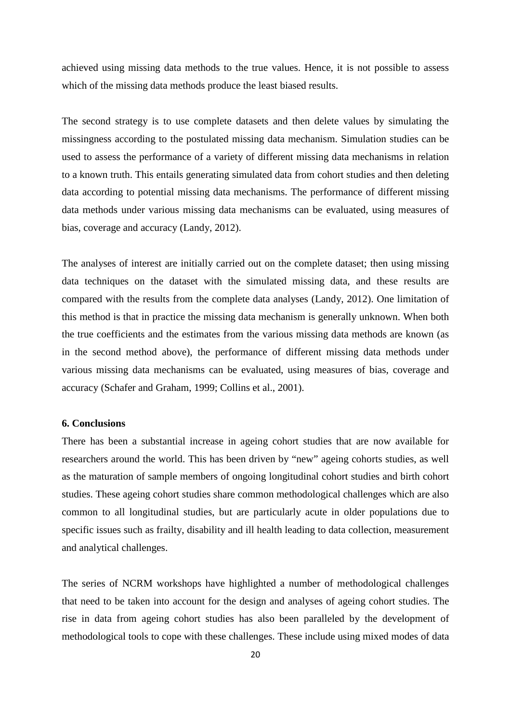achieved using missing data methods to the true values. Hence, it is not possible to assess which of the missing data methods produce the least biased results.

The second strategy is to use complete datasets and then delete values by simulating the missingness according to the postulated missing data mechanism. Simulation studies can be used to assess the performance of a variety of different missing data mechanisms in relation to a known truth. This entails generating simulated data from cohort studies and then deleting data according to potential missing data mechanisms. The performance of different missing data methods under various missing data mechanisms can be evaluated, using measures of bias, coverage and accuracy (Landy, 2012).

The analyses of interest are initially carried out on the complete dataset; then using missing data techniques on the dataset with the simulated missing data, and these results are compared with the results from the complete data analyses (Landy, 2012). One limitation of this method is that in practice the missing data mechanism is generally unknown. When both the true coefficients and the estimates from the various missing data methods are known (as in the second method above), the performance of different missing data methods under various missing data mechanisms can be evaluated, using measures of bias, coverage and accuracy (Schafer and Graham, 1999; Collins et al., 2001).

### **6. Conclusions**

There has been a substantial increase in ageing cohort studies that are now available for researchers around the world. This has been driven by "new" ageing cohorts studies, as well as the maturation of sample members of ongoing longitudinal cohort studies and birth cohort studies. These ageing cohort studies share common methodological challenges which are also common to all longitudinal studies, but are particularly acute in older populations due to specific issues such as frailty, disability and ill health leading to data collection, measurement and analytical challenges.

The series of NCRM workshops have highlighted a number of methodological challenges that need to be taken into account for the design and analyses of ageing cohort studies. The rise in data from ageing cohort studies has also been paralleled by the development of methodological tools to cope with these challenges. These include using mixed modes of data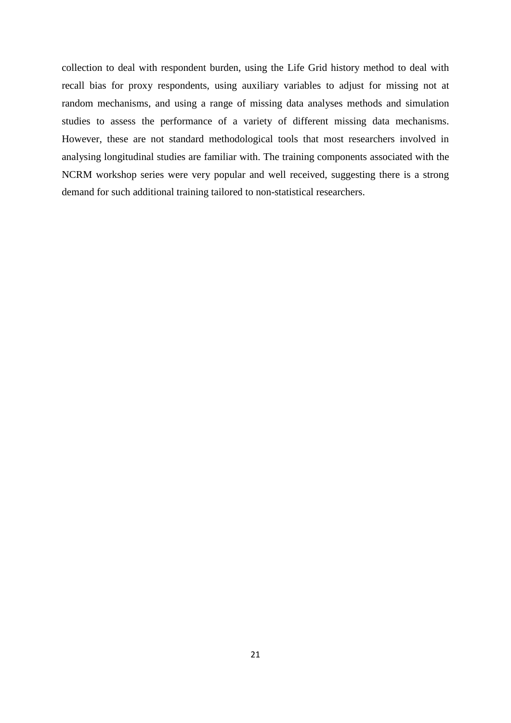collection to deal with respondent burden, using the Life Grid history method to deal with recall bias for proxy respondents, using auxiliary variables to adjust for missing not at random mechanisms, and using a range of missing data analyses methods and simulation studies to assess the performance of a variety of different missing data mechanisms. However, these are not standard methodological tools that most researchers involved in analysing longitudinal studies are familiar with. The training components associated with the NCRM workshop series were very popular and well received, suggesting there is a strong demand for such additional training tailored to non-statistical researchers.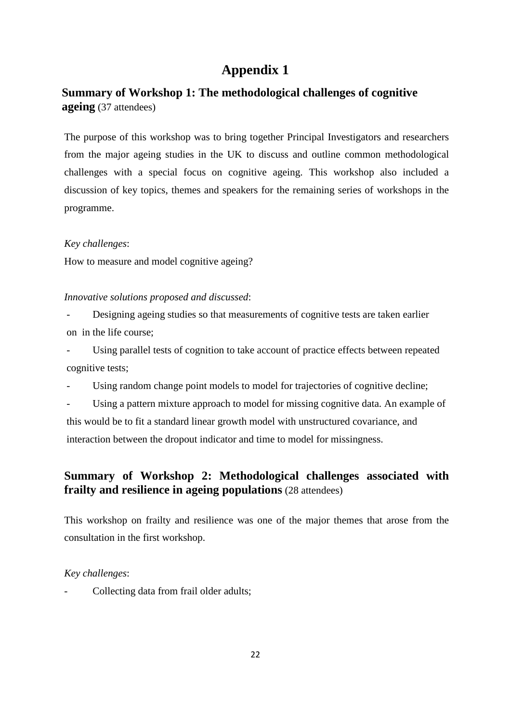# **Appendix 1**

# **Summary of Workshop 1: The methodological challenges of cognitive ageing** (37 attendees)

The purpose of this workshop was to bring together Principal Investigators and researchers from the major ageing studies in the UK to discuss and outline common methodological challenges with a special focus on cognitive ageing. This workshop also included a discussion of key topics, themes and speakers for the remaining series of workshops in the programme.

# *Key challenges*:

How to measure and model cognitive ageing?

# *Innovative solutions proposed and discussed*:

Designing ageing studies so that measurements of cognitive tests are taken earlier on in the life course;

Using parallel tests of cognition to take account of practice effects between repeated cognitive tests;

Using random change point models to model for trajectories of cognitive decline;

Using a pattern mixture approach to model for missing cognitive data. An example of this would be to fit a standard linear growth model with unstructured covariance, and interaction between the dropout indicator and time to model for missingness.

# **Summary of Workshop 2: Methodological challenges associated with frailty and resilience in ageing populations** (28 attendees)

This workshop on frailty and resilience was one of the major themes that arose from the consultation in the first workshop.

# *Key challenges*:

Collecting data from frail older adults;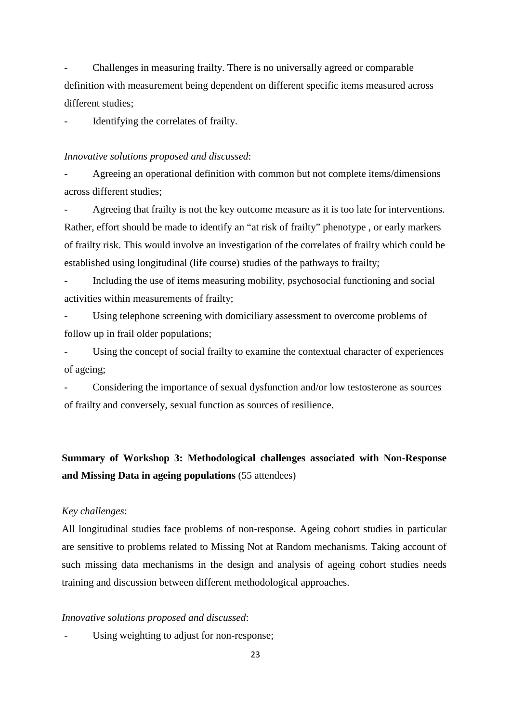- Challenges in measuring frailty. There is no universally agreed or comparable definition with measurement being dependent on different specific items measured across different studies;

Identifying the correlates of frailty.

### *Innovative solutions proposed and discussed*:

- Agreeing an operational definition with common but not complete items/dimensions across different studies;

Agreeing that frailty is not the key outcome measure as it is too late for interventions. Rather, effort should be made to identify an "at risk of frailty" phenotype , or early markers of frailty risk. This would involve an investigation of the correlates of frailty which could be established using longitudinal (life course) studies of the pathways to frailty;

- Including the use of items measuring mobility, psychosocial functioning and social activities within measurements of frailty;

Using telephone screening with domiciliary assessment to overcome problems of follow up in frail older populations;

Using the concept of social frailty to examine the contextual character of experiences of ageing;

- Considering the importance of sexual dysfunction and/or low testosterone as sources of frailty and conversely, sexual function as sources of resilience.

# **Summary of Workshop 3: Methodological challenges associated with Non-Response and Missing Data in ageing populations** (55 attendees)

## *Key challenges*:

All longitudinal studies face problems of non-response. Ageing cohort studies in particular are sensitive to problems related to Missing Not at Random mechanisms. Taking account of such missing data mechanisms in the design and analysis of ageing cohort studies needs training and discussion between different methodological approaches.

#### *Innovative solutions proposed and discussed*:

Using weighting to adjust for non-response;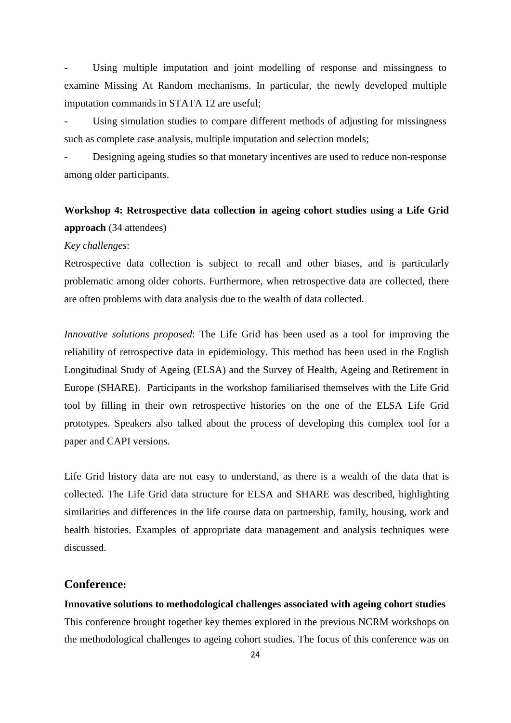Using multiple imputation and joint modelling of response and missingness to examine Missing At Random mechanisms. In particular, the newly developed multiple imputation commands in STATA 12 are useful;

Using simulation studies to compare different methods of adjusting for missingness such as complete case analysis, multiple imputation and selection models;

Designing ageing studies so that monetary incentives are used to reduce non-response among older participants.

# **Workshop 4: Retrospective data collection in ageing cohort studies using a Life Grid approach** (34 attendees)

#### *Key challenges*:

Retrospective data collection is subject to recall and other biases, and is particularly problematic among older cohorts. Furthermore, when retrospective data are collected, there are often problems with data analysis due to the wealth of data collected.

*Innovative solutions proposed*: The Life Grid has been used as a tool for improving the reliability of retrospective data in epidemiology. This method has been used in the English Longitudinal Study of Ageing (ELSA) and the Survey of Health, Ageing and Retirement in Europe (SHARE). Participants in the workshop familiarised themselves with the Life Grid tool by filling in their own retrospective histories on the one of the ELSA Life Grid prototypes. Speakers also talked about the process of developing this complex tool for a paper and CAPI versions.

Life Grid history data are not easy to understand, as there is a wealth of the data that is collected. The Life Grid data structure for ELSA and SHARE was described, highlighting similarities and differences in the life course data on partnership, family, housing, work and health histories. Examples of appropriate data management and analysis techniques were discussed.

## **Conference:**

**Innovative solutions to methodological challenges associated with ageing cohort studies** This conference brought together key themes explored in the previous NCRM workshops on the methodological challenges to ageing cohort studies. The focus of this conference was on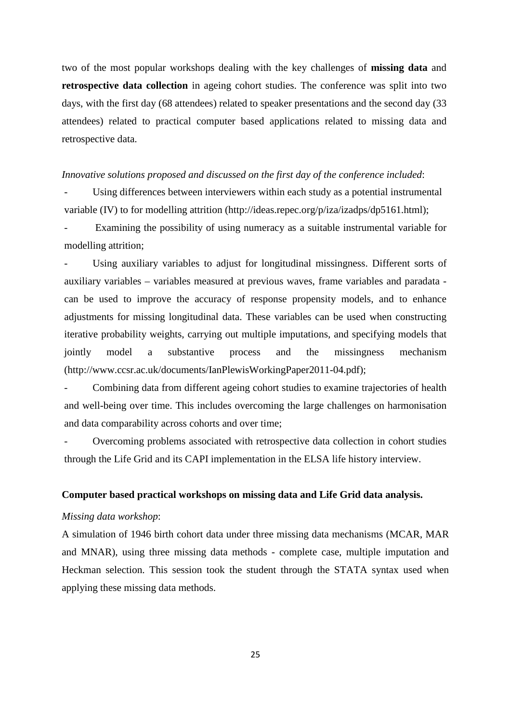two of the most popular workshops dealing with the key challenges of **missing data** and **retrospective data collection** in ageing cohort studies. The conference was split into two days, with the first day (68 attendees) related to speaker presentations and the second day (33 attendees) related to practical computer based applications related to missing data and retrospective data.

### *Innovative solutions proposed and discussed on the first day of the conference included*:

Using differences between interviewers within each study as a potential instrumental variable (IV) to for modelling attrition (http://ideas.repec.org/p/iza/izadps/dp5161.html);

Examining the possibility of using numeracy as a suitable instrumental variable for modelling attrition;

Using auxiliary variables to adjust for longitudinal missingness. Different sorts of auxiliary variables – variables measured at previous waves, frame variables and paradata can be used to improve the accuracy of response propensity models, and to enhance adjustments for missing longitudinal data. These variables can be used when constructing iterative probability weights, carrying out multiple imputations, and specifying models that jointly model a substantive process and the missingness mechanism (http://www.ccsr.ac.uk/documents/IanPlewisWorkingPaper2011-04.pdf);

Combining data from different ageing cohort studies to examine trajectories of health and well-being over time. This includes overcoming the large challenges on harmonisation and data comparability across cohorts and over time;

- Overcoming problems associated with retrospective data collection in cohort studies through the Life Grid and its CAPI implementation in the ELSA life history interview.

## **Computer based practical workshops on missing data and Life Grid data analysis.**

# *Missing data workshop*:

A simulation of 1946 birth cohort data under three missing data mechanisms (MCAR, MAR and MNAR), using three missing data methods - complete case, multiple imputation and Heckman selection. This session took the student through the STATA syntax used when applying these missing data methods.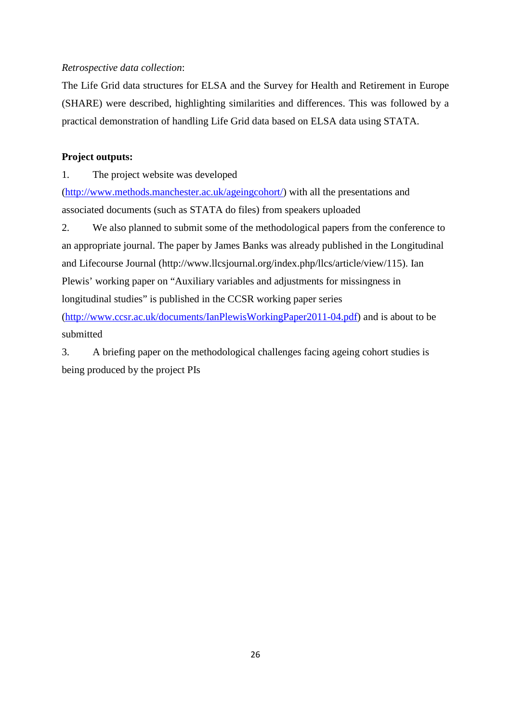# *Retrospective data collection*:

The Life Grid data structures for ELSA and the Survey for Health and Retirement in Europe (SHARE) were described, highlighting similarities and differences. This was followed by a practical demonstration of handling Life Grid data based on ELSA data using STATA.

## **Project outputs:**

1. The project website was developed

[\(http://www.methods.manchester.ac.uk/ageingcohort/\)](http://www.methods.manchester.ac.uk/ageingcohort/) with all the presentations and associated documents (such as STATA do files) from speakers uploaded

2. We also planned to submit some of the methodological papers from the conference to an appropriate journal. The paper by James Banks was already published in the Longitudinal and Lifecourse Journal (http://www.llcsjournal.org/index.php/llcs/article/view/115). Ian Plewis' working paper on "Auxiliary variables and adjustments for missingness in longitudinal studies" is published in the CCSR working paper series

[\(http://www.ccsr.ac.uk/documents/IanPlewisWorkingPaper2011-04.pdf\)](http://www.ccsr.ac.uk/documents/IanPlewisWorkingPaper2011-04.pdf) and is about to be submitted

3. A briefing paper on the methodological challenges facing ageing cohort studies is being produced by the project PIs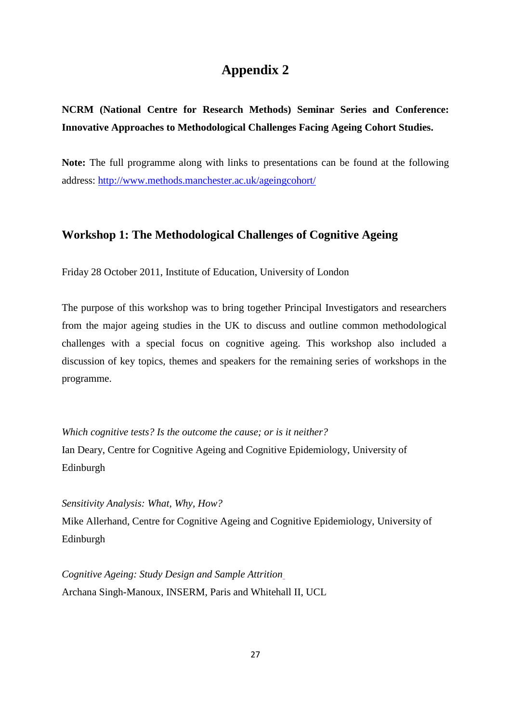# **Appendix 2**

# **NCRM (National Centre for Research Methods) Seminar Series and Conference: Innovative Approaches to Methodological Challenges Facing Ageing Cohort Studies.**

**Note:** The full programme along with links to presentations can be found at the following address:<http://www.methods.manchester.ac.uk/ageingcohort/>

# **Workshop 1: The Methodological Challenges of Cognitive Ageing**

Friday 28 October 2011, Institute of Education, University of London

The purpose of this workshop was to bring together Principal Investigators and researchers from the major ageing studies in the UK to discuss and outline common methodological challenges with a special focus on cognitive ageing. This workshop also included a discussion of key topics, themes and speakers for the remaining series of workshops in the programme.

*Which cognitive tests? Is the outcome the cause; or is it neither?* Ian Deary, Centre for Cognitive Ageing and Cognitive Epidemiology, University of Edinburgh

*Sensitivity Analysis: What, Why, How?*

Mike Allerhand, Centre for Cognitive Ageing and Cognitive Epidemiology, University of Edinburgh

*Cognitive Ageing: Study Design and Sample Attrition* Archana Singh-Manoux, INSERM, Paris and Whitehall II, UCL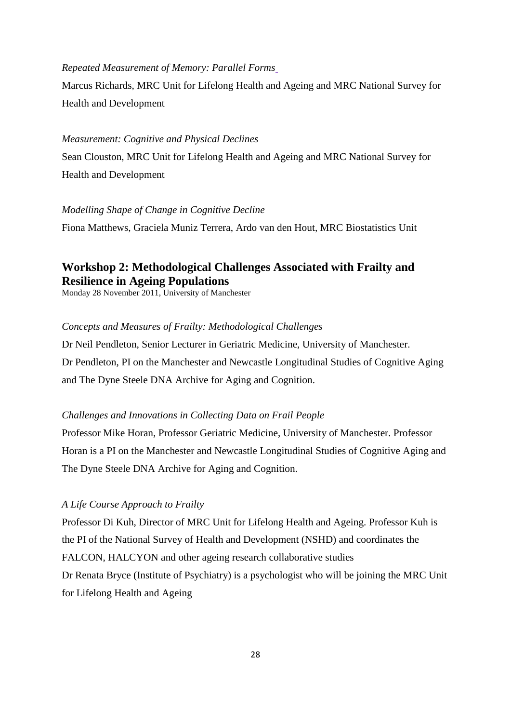## *Repeated Measurement of Memory: Parallel Forms*

Marcus Richards, MRC Unit for Lifelong Health and Ageing and MRC National Survey for Health and Development

### *Measurement: Cognitive and Physical Declines*

Sean Clouston, MRC Unit for Lifelong Health and Ageing and MRC National Survey for Health and Development

#### *Modelling Shape of Change in Cognitive Decline*

Fiona Matthews, Graciela Muniz Terrera, Ardo van den Hout, MRC Biostatistics Unit

# **Workshop 2: Methodological Challenges Associated with Frailty and Resilience in Ageing Populations**

Monday 28 November 2011, University of Manchester

### *Concepts and Measures of Frailty: Methodological Challenges*

Dr Neil Pendleton, Senior Lecturer in Geriatric Medicine, University of Manchester. Dr Pendleton, PI on the Manchester and Newcastle Longitudinal Studies of Cognitive Aging and The Dyne Steele DNA Archive for Aging and Cognition.

### *Challenges and Innovations in Collecting Data on Frail People*

Professor Mike Horan, Professor Geriatric Medicine, University of Manchester. Professor Horan is a PI on the Manchester and Newcastle Longitudinal Studies of Cognitive Aging and The Dyne Steele DNA Archive for Aging and Cognition.

### *A Life Course Approach to Frailty*

Professor Di Kuh, Director of MRC Unit for Lifelong Health and Ageing. Professor Kuh is the PI of the National Survey of Health and Development (NSHD) and coordinates the FALCON, HALCYON and other ageing research collaborative studies Dr Renata Bryce (Institute of Psychiatry) is a psychologist who will be joining the MRC Unit for Lifelong Health and Ageing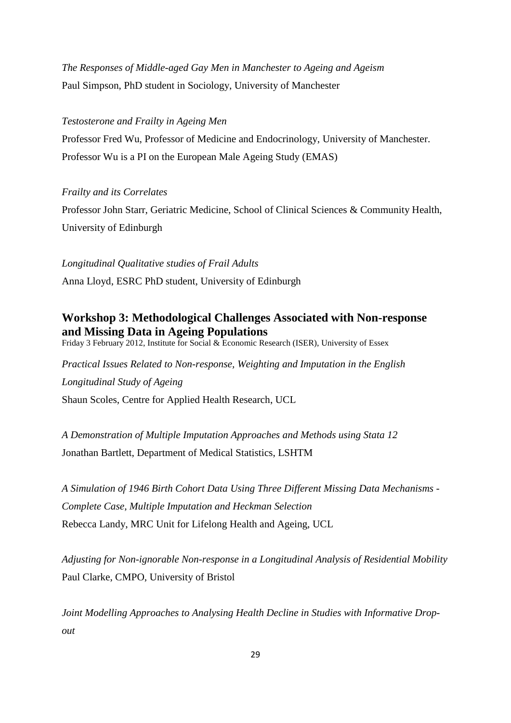*[The Responses of Middle-aged Gay Men in Manchester to Ageing and Ageism](http://www.methods.manchester.ac.uk/ageingcohort/seminar-2/Simpson.pdf)* Paul Simpson, PhD student in Sociology, University of Manchester

### *[Testosterone and Frailty in Ageing Men](http://www.methods.manchester.ac.uk/ageingcohort/seminar-2/wutajar.pdf)*

Professor Fred Wu, Professor of Medicine and Endocrinology, University of Manchester. Professor Wu is a PI on the European Male Ageing Study (EMAS)

### *[Frailty and its Correlates](http://www.methods.manchester.ac.uk/ageingcohort/seminar-2/Starr.pdf)*

Professor John Starr, Geriatric Medicine, School of Clinical Sciences & Community Health, University of Edinburgh

*Longitudinal Qualitative studies of Frail Adults* Anna Lloyd, ESRC PhD student, University of Edinburgh

# **Workshop 3: Methodological Challenges Associated with Non-response and Missing Data in Ageing Populations**

Friday 3 February 2012[, Institute for Social & Economic Research \(ISER\), University of Essex](http://www.iser.essex.ac.uk/contact)

*Practical Issues Related to Non-response, Weighting and Imputation in the English Longitudinal Study of Ageing* Shaun Scoles, Centre for Applied Health Research, UCL

*A Demonstration of Multiple Imputation Approaches and Methods using Stata 12* Jonathan Bartlett, Department of Medical Statistics, LSHTM

*A Simulation of 1946 Birth Cohort Data Using Three Different Missing Data Mechanisms - Complete Case, Multiple Imputation and Heckman Selection* Rebecca Landy, MRC Unit for Lifelong Health and Ageing, UCL

*Adjusting for Non-ignorable Non-response in a Longitudinal Analysis of Residential Mobility* Paul Clarke, CMPO, University of Bristol

*Joint Modelling Approaches to Analysing Health Decline in Studies with Informative Dropout*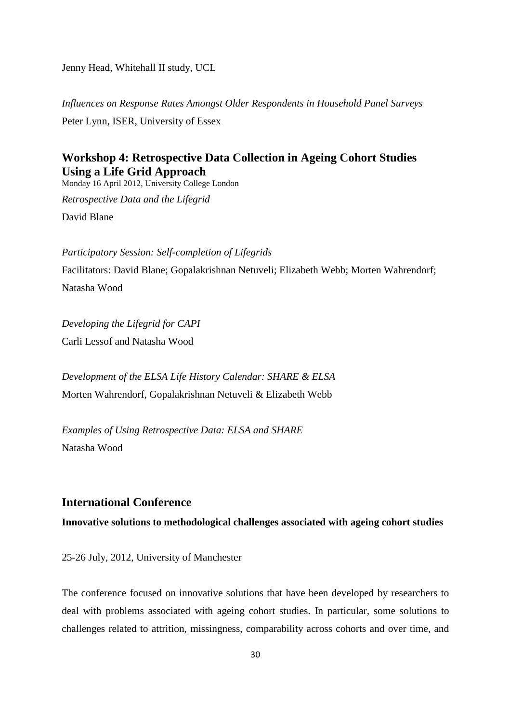Jenny Head, Whitehall II study, UCL

*Influences on Response Rates Amongst Older Respondents in Household Panel Surveys* Peter Lynn, ISER, University of Essex

# **Workshop 4: Retrospective Data Collection in Ageing Cohort Studies Using a Life Grid Approach**

Monday 16 April 2012, University College London

*Retrospective Data and the Lifegrid* David Blane

*Participatory Session: Self-completion of Lifegrids* Facilitators: David Blane; Gopalakrishnan Netuveli; Elizabeth Webb; Morten Wahrendorf; Natasha Wood

*Developing the Lifegrid for CAPI* Carli Lessof and Natasha Wood

*Development of the ELSA Life History Calendar: SHARE & ELSA* Morten Wahrendorf, Gopalakrishnan Netuveli & Elizabeth Webb

*Examples of Using Retrospective Data: ELSA and SHARE* Natasha Wood

# **International Conference**

**Innovative solutions to methodological challenges associated with ageing cohort studies**

25-26 July, 2012, University of Manchester

The conference focused on innovative solutions that have been developed by researchers to deal with problems associated with ageing cohort studies. In particular, some solutions to challenges related to attrition, missingness, comparability across cohorts and over time, and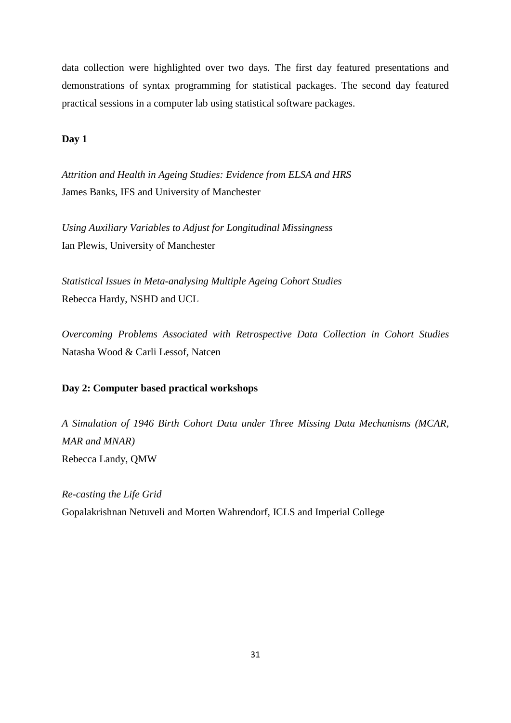data collection were highlighted over two days. The first day featured presentations and demonstrations of syntax programming for statistical packages. The second day featured practical sessions in a computer lab using statistical software packages.

## **Day 1**

*Attrition and Health in Ageing Studies: Evidence from ELSA and HRS* James Banks, IFS and University of Manchester

*Using Auxiliary Variables to Adjust for Longitudinal Missingness* Ian Plewis, University of Manchester

*Statistical Issues in Meta-analysing Multiple Ageing Cohort Studies* Rebecca Hardy, NSHD and UCL

*Overcoming Problems Associated with Retrospective Data Collection in Cohort Studies* Natasha Wood & Carli Lessof, Natcen

## **Day 2: Computer based practical workshops**

*A Simulation of 1946 Birth Cohort Data under Three Missing Data Mechanisms (MCAR, MAR and MNAR)* Rebecca Landy, QMW

*Re-casting the Life Grid* Gopalakrishnan Netuveli and Morten Wahrendorf, ICLS and Imperial College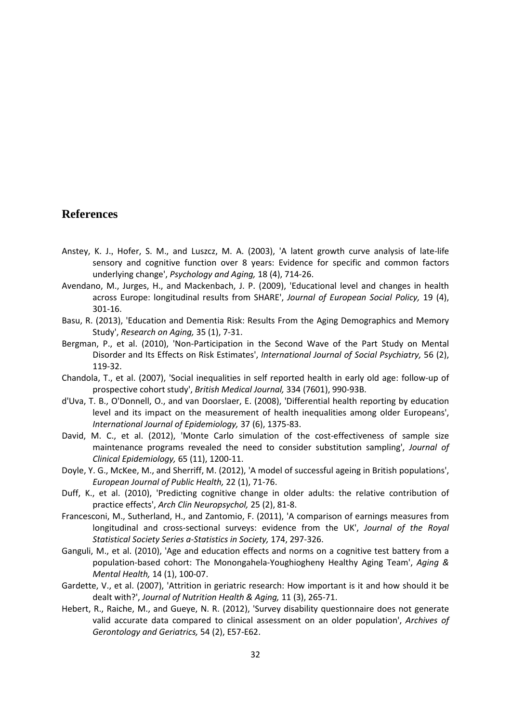# **References**

- <span id="page-33-8"></span>Anstey, K. J., Hofer, S. M., and Luszcz, M. A. (2003), 'A latent growth curve analysis of late-life sensory and cognitive function over 8 years: Evidence for specific and common factors underlying change', *Psychology and Aging,* 18 (4), 714-26.
- <span id="page-33-1"></span>Avendano, M., Jurges, H., and Mackenbach, J. P. (2009), 'Educational level and changes in health across Europe: longitudinal results from SHARE', *Journal of European Social Policy,* 19 (4), 301-16.
- Basu, R. (2013), 'Education and Dementia Risk: Results From the Aging Demographics and Memory Study', *Research on Aging,* 35 (1), 7-31.
- Bergman, P., et al. (2010), 'Non-Participation in the Second Wave of the Part Study on Mental Disorder and Its Effects on Risk Estimates', *International Journal of Social Psychiatry,* 56 (2), 119-32.
- <span id="page-33-2"></span>Chandola, T., et al. (2007), 'Social inequalities in self reported health in early old age: follow-up of prospective cohort study', *British Medical Journal,* 334 (7601), 990-93B.
- <span id="page-33-4"></span>d'Uva, T. B., O'Donnell, O., and van Doorslaer, E. (2008), 'Differential health reporting by education level and its impact on the measurement of health inequalities among older Europeans', *International Journal of Epidemiology,* 37 (6), 1375-83.
- <span id="page-33-7"></span>David, M. C., et al. (2012), 'Monte Carlo simulation of the cost-effectiveness of sample size maintenance programs revealed the need to consider substitution sampling', *Journal of Clinical Epidemiology,* 65 (11), 1200-11.
- <span id="page-33-3"></span>Doyle, Y. G., McKee, M., and Sherriff, M. (2012), 'A model of successful ageing in British populations', *European Journal of Public Health,* 22 (1), 71-76.
- <span id="page-33-9"></span>Duff, K., et al. (2010), 'Predicting cognitive change in older adults: the relative contribution of practice effects', *Arch Clin Neuropsychol,* 25 (2), 81-8.
- <span id="page-33-6"></span>Francesconi, M., Sutherland, H., and Zantomio, F. (2011), 'A comparison of earnings measures from longitudinal and cross-sectional surveys: evidence from the UK', *Journal of the Royal Statistical Society Series a-Statistics in Society,* 174, 297-326.
- Ganguli, M., et al. (2010), 'Age and education effects and norms on a cognitive test battery from a population-based cohort: The Monongahela-Youghiogheny Healthy Aging Team', *Aging & Mental Health,* 14 (1), 100-07.
- <span id="page-33-5"></span>Gardette, V., et al. (2007), 'Attrition in geriatric research: How important is it and how should it be dealt with?', *Journal of Nutrition Health & Aging,* 11 (3), 265-71.
- <span id="page-33-0"></span>Hebert, R., Raiche, M., and Gueye, N. R. (2012), 'Survey disability questionnaire does not generate valid accurate data compared to clinical assessment on an older population', *Archives of Gerontology and Geriatrics,* 54 (2), E57-E62.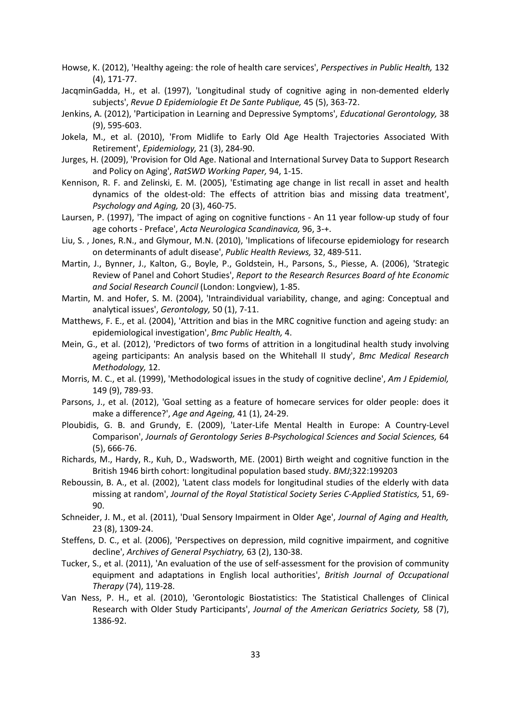- <span id="page-34-0"></span>Howse, K. (2012), 'Healthy ageing: the role of health care services', *Perspectives in Public Health,* 132 (4), 171-77.
- JacqminGadda, H., et al. (1997), 'Longitudinal study of cognitive aging in non-demented elderly subjects', *Revue D Epidemiologie Et De Sante Publique,* 45 (5), 363-72.
- Jenkins, A. (2012), 'Participation in Learning and Depressive Symptoms', *Educational Gerontology,* 38 (9), 595-603.
- <span id="page-34-4"></span>Jokela, M., et al. (2010), 'From Midlife to Early Old Age Health Trajectories Associated With Retirement', *Epidemiology,* 21 (3), 284-90.
- <span id="page-34-6"></span>Jurges, H. (2009), 'Provision for Old Age. National and International Survey Data to Support Research and Policy on Aging', *RatSWD Working Paper,* 94, 1-15.
- Kennison, R. F. and Zelinski, E. M. (2005), 'Estimating age change in list recall in asset and health dynamics of the oldest-old: The effects of attrition bias and missing data treatment', *Psychology and Aging,* 20 (3), 460-75.
- <span id="page-34-12"></span>Laursen, P. (1997), 'The impact of aging on cognitive functions - An 11 year follow-up study of four age cohorts - Preface', *Acta Neurologica Scandinavica,* 96, 3-+.
- <span id="page-34-11"></span>Liu, S. , Jones, R.N., and Glymour, M.N. (2010), 'Implications of lifecourse epidemiology for research on determinants of adult disease', *Public Health Reviews,* 32, 489-511.
- Martin, J., Bynner, J., Kalton, G., Boyle, P., Goldstein, H., Parsons, S., Piesse, A. (2006), 'Strategic Review of Panel and Cohort Studies', *Report to the Research Resurces Board of hte Economic and Social Research Council* (London: Longview), 1-85.
- <span id="page-34-13"></span>Martin, M. and Hofer, S. M. (2004), 'Intraindividual variability, change, and aging: Conceptual and analytical issues', *Gerontology,* 50 (1), 7-11.
- <span id="page-34-10"></span>Matthews, F. E., et al. (2004), 'Attrition and bias in the MRC cognitive function and ageing study: an epidemiological investigation', *Bmc Public Health,* 4.
- <span id="page-34-9"></span>Mein, G., et al. (2012), 'Predictors of two forms of attrition in a longitudinal health study involving ageing participants: An analysis based on the Whitehall II study', *Bmc Medical Research Methodology,* 12.
- <span id="page-34-14"></span>Morris, M. C., et al. (1999), 'Methodological issues in the study of cognitive decline', *Am J Epidemiol,* 149 (9), 789-93.
- <span id="page-34-3"></span>Parsons, J., et al. (2012), 'Goal setting as a feature of homecare services for older people: does it make a difference?', *Age and Ageing,* 41 (1), 24-29.
- <span id="page-34-7"></span>Ploubidis, G. B. and Grundy, E. (2009), 'Later-Life Mental Health in Europe: A Country-Level Comparison', *Journals of Gerontology Series B-Psychological Sciences and Social Sciences,* 64 (5), 666-76.
- Richards, M., Hardy, R., Kuh, D., Wadsworth, ME. (2001) Birth weight and cognitive function in the British 1946 birth cohort: longitudinal population based study. *BMJ*;322:199203
- <span id="page-34-5"></span>Reboussin, B. A., et al. (2002), 'Latent class models for longitudinal studies of the elderly with data missing at random', *Journal of the Royal Statistical Society Series C-Applied Statistics,* 51, 69- 90.
- <span id="page-34-2"></span>Schneider, J. M., et al. (2011), 'Dual Sensory Impairment in Older Age', *Journal of Aging and Health,* 23 (8), 1309-24.
- <span id="page-34-15"></span>Steffens, D. C., et al. (2006), 'Perspectives on depression, mild cognitive impairment, and cognitive decline', *Archives of General Psychiatry,* 63 (2), 130-38.
- <span id="page-34-1"></span>Tucker, S., et al. (2011), 'An evaluation of the use of self-assessment for the provision of community equipment and adaptations in English local authorities', *British Journal of Occupational Therapy* (74), 119-28.
- <span id="page-34-8"></span>Van Ness, P. H., et al. (2010), 'Gerontologic Biostatistics: The Statistical Challenges of Clinical Research with Older Study Participants', *Journal of the American Geriatrics Society,* 58 (7), 1386-92.